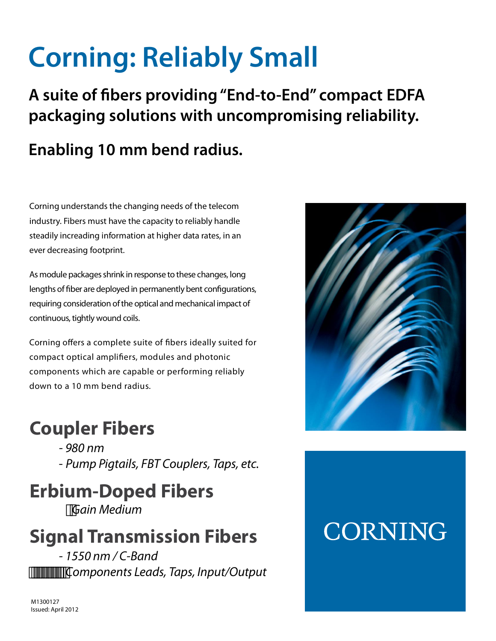# **Corning: Reliably Small**

**A suite of bers providing "End-to-End" compact EDFA packaging solutions with uncompromising reliability.**

### **Enabling 10 mm bend radius.**

Corning understands the changing needs of the telecom industry. Fibers must have the capacity to reliably handle steadily increading information at higher data rates, in an ever decreasing footprint.

As module packages shrink in response to these changes, long lengths of fiber are deployed in permanently bent configurations, requiring consideration of the optical and mechanical impact of continuous, tightly wound coils.

Corning offers a complete suite of fibers ideally suited for compact optical amplifiers, modules and photonic components which are capable or performing reliably down to a 10 mm bend radius.

### **Coupler Fibers**

- 980 nm - Pump Pigtails, FBT Couplers, Taps, etc.

# **Erbium-Doped Fibers**

Gain Medium

## **Signal Transmission Fibers**

- 1550 nm / C-Band Components Leads, Taps, Input/Output



# **CORNING**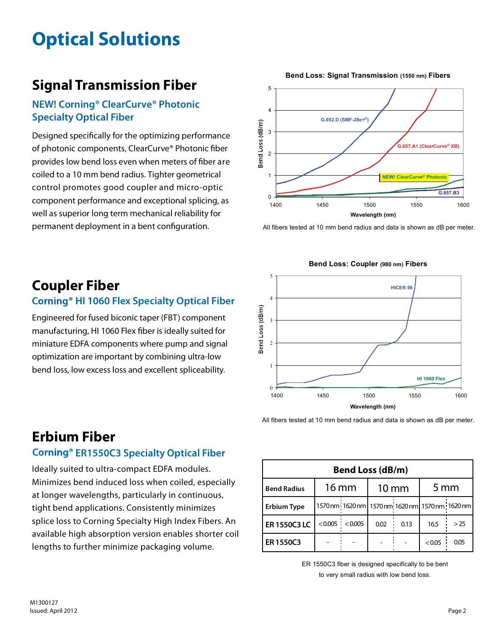# **Optical Solutions**

### **Signal Transmission Fiber**

#### **NEW! Corning® ClearCurve® Photonic Specialty Optical Fiber**

Designed specifically for the optimizing performance of photonic components, ClearCurve® Photonic fiber provides low bend loss even when meters of fiber are coiled to a 10 mm bend radius. Tighter geometrical control promotes good coupler and micro-optic component performance and exceptional splicing, as well as superior long term mechanical reliability for permanent deployment in a bent configuration.



All fibers tested at 10 mm bend radius and data is shown as dB per meter.



#### **Bend Loss: Coupler (980 nm) Fibers**

### **Coupler Fiber**

#### **Corning<sup>®</sup> HI 1060 Flex Specialty Optical Fiber**

Engineered for fused biconic taper (FBT) component manufacturing, HI 1060 Flex fiber is ideally suited for miniature EDFA components where pump and signal optimization are important by combining ultra-low bend loss, low excess loss and excellent spliceability.

#### All fibers tested at 10 mm bend radius and data is shown as dB per meter.

#### **Erbium Fiber Corning<sup>®</sup> ER1550C3 Specialty Optical Fiber**

Ideally suited to ultra-compact EDFA modules. Minimizes bend induced loss when coiled, especially at longer wavelengths, particularly in continuous, tight bend applications. Consistently minimizes splice loss to Corning Specialty High Index Fibers. An available high absorption version enables shorter coil lengths to further minimize packaging volume.

| <b>Bend Loss (dB/m)</b> |                    |                                                 |                 |      |                   |      |  |
|-------------------------|--------------------|-------------------------------------------------|-----------------|------|-------------------|------|--|
| <b>Bend Radius</b>      | $16 \,\mathrm{mm}$ |                                                 | $10 \text{ mm}$ |      | $5 \,\mathrm{mm}$ |      |  |
| <b>Erbium Type</b>      |                    | 1570 nm 1620 nm 1570 nm 1620 nm 1570 nm 1620 nm |                 |      |                   |      |  |
| ER 1550C3 LC            |                    | $< 0.005$ ; $< 0.005$                           | 0.02            | 0.13 | 16.5              | >25  |  |
| ER1550C3                |                    |                                                 |                 |      | <0.05             | 0.05 |  |

ER 1550C3 fiber is designed specifically to be bent to very small radius with low bend loss.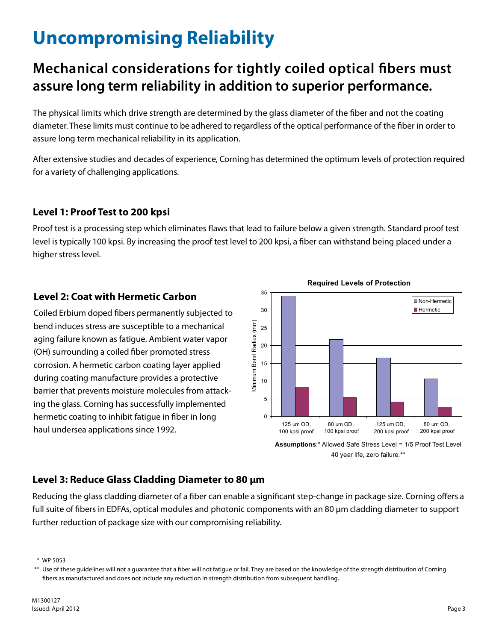## **Uncompromising Reliability**

### **Mechanical considerations for tightly coiled optical bers must assure long term reliability in addition to superior performance.**

The physical limits which drive strength are determined by the glass diameter of the fiber and not the coating diameter. These limits must continue to be adhered to regardless of the optical performance of the fiber in order to assure long term mechanical reliability in its application.

After extensive studies and decades of experience, Corning has determined the optimum levels of protection required for a variety of challenging applications.

#### **Level 1: Proof Test to 200 kpsi**

Proof test is a processing step which eliminates flaws that lead to failure below a given strength. Standard proof test level is typically 100 kpsi. By increasing the proof test level to 200 kpsi, a fiber can withstand being placed under a higher stress level.

#### **Level 2: Coat with Hermetic Carbon**

Coiled Erbium doped fibers permanently subjected to bend induces stress are susceptible to a mechanical aging failure known as fatigue. Ambient water vapor (OH) surrounding a coiled fiber promoted stress corrosion. A hermetic carbon coating layer applied during coating manufacture provides a protective barrier that prevents moisture molecules from attacking the glass. Corning has successfully implemented hermetic coating to inhibit fatigue in fiber in long haul undersea applications since 1992.



**Required Levels of Protection**

**Assumptions**:\* Allowed Safe Stress Level = 1/5 Proof Test Level 40 year life, zero failure.\*\*

#### **Level 3: Reduce Glass Cladding Diameter to 80 µm**

Reducing the glass cladding diameter of a fiber can enable a significant step-change in package size. Corning offers a full suite of fibers in EDFAs, optical modules and photonic components with an 80 µm cladding diameter to support further reduction of package size with our compromising reliability.

\* WP 5053

<sup>\*\*</sup> Use of these guidelines will not a guarantee that a fiber will not fatigue or fail. They are based on the knowledge of the strength distribution of Corning fibers as manufactured and does not include any reduction in strength distribution from subsequent handling.